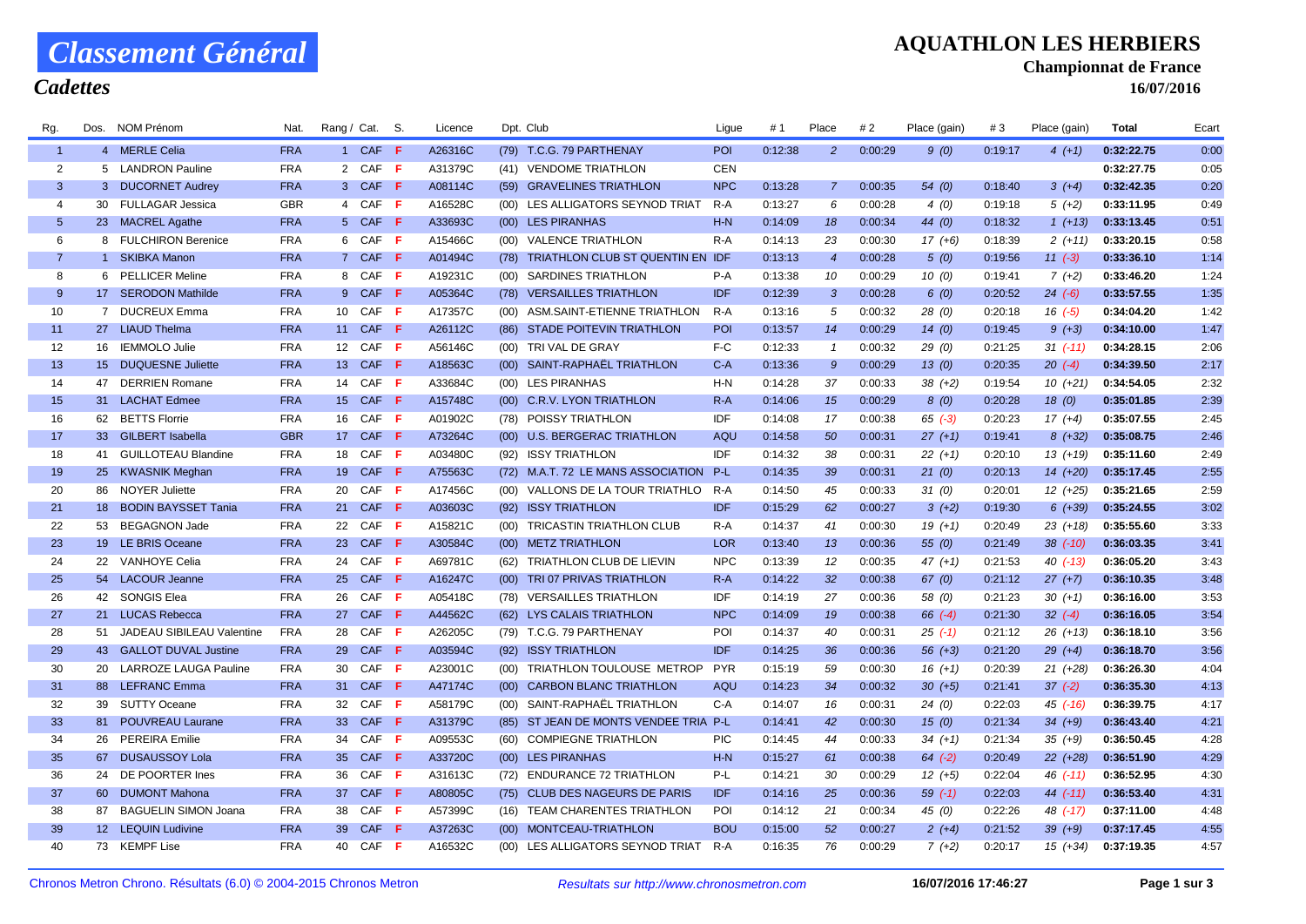# *Classement Général*

#### *Cadettes*

#### **AQUATHLON LES HERBIERS**

**Championnat de France**

**16/07/2016**

| Rg.            | Dos.            | NOM Prenom                   | Nat.       | Rang / Cat.     |                 | S. | Licence |      | Dpt. Club                              | Ligue      | # 1     | Place            | # 2     | Place (gain | #3      | Place (gain  | Total      | Ecart |
|----------------|-----------------|------------------------------|------------|-----------------|-----------------|----|---------|------|----------------------------------------|------------|---------|------------------|---------|-------------|---------|--------------|------------|-------|
| $\overline{1}$ |                 | 4 MERLE Celia                | <b>FRA</b> |                 | 1 CAF F         |    | A26316C |      | (79) T.C.G. 79 PARTHENAY               | POI        | 0:12:38 | 2 <sup>2</sup>   | 0:00:29 | 9(0)        | 0:19:17 | $4(+1)$      | 0:32:22.75 | 0:00  |
| 2              |                 | 5 LANDRON Pauline            | <b>FRA</b> |                 | 2 CAF F         |    | A31379C |      | (41) VENDOME TRIATHLON                 | <b>CEN</b> |         |                  |         |             |         |              | 0:32:27.75 | 0:05  |
| 3              |                 | 3 DUCORNET Audrey            | <b>FRA</b> |                 | 3 CAF F         |    | A08114C |      | (59) GRAVELINES TRIATHLON              | <b>NPC</b> | 0:13:28 | $\overline{7}$   | 0:00:35 | 54(0)       | 0:18:40 | $3(+4)$      | 0:32:42.35 | 0:20  |
| $\overline{4}$ |                 | 30 FULLAGAR Jessica          | <b>GBR</b> |                 | 4 CAF F         |    | A16528C |      | (00) LES ALLIGATORS SEYNOD TRIAT       | R-A        | 0:13:27 | 6                | 0:00:28 | 4(0)        | 0:19:18 | $5(+2)$      | 0:33:11.95 | 0:49  |
| 5              |                 | 23 MACREL Agathe             | <b>FRA</b> |                 | 5 CAF F         |    | A33693C |      | (00) LES PIRANHAS                      | $H-N$      | 0:14:09 | 18               | 0:00:34 | 44 (0)      | 0:18:32 | $1(+13)$     | 0:33:13.45 | 0:51  |
| 6              |                 | 8 FULCHIRON Berenice         | <b>FRA</b> |                 | 6 CAF F         |    | A15466C |      | (00) VALENCE TRIATHLON                 | $R-A$      | 0:14:13 | 23               | 0:00:30 | $17(+6)$    | 0:18:39 | $2(+11)$     | 0:33:20.15 | 0:58  |
| $\overline{7}$ |                 | 1 SKIBKA Manon               | <b>FRA</b> |                 | 7 CAF F         |    | A01494C | (78) | TRIATHLON CLUB ST QUENTIN EN IDF       |            | 0:13:13 | $\overline{4}$   | 0:00:28 | 5(0)        | 0:19:56 | $11 (-3)$    | 0:33:36.10 | 1:14  |
| 8              |                 | 6 PELLICER Meline            | <b>FRA</b> |                 | 8 CAF F         |    | A19231C | (00) | <b>SARDINES TRIATHLON</b>              | $P-A$      | 0:13:38 | 10               | 0:00:29 | 10(0)       | 0:19:41 | $7(+2)$      | 0:33:46.20 | 1:24  |
| 9              |                 | 17 SERODON Mathilde          | <b>FRA</b> |                 | 9 CAF F         |    | A05364C |      | (78) VERSAILLES TRIATHLON              | IDF        | 0:12:39 | 3                | 0:00:28 | 6(0)        | 0:20:52 | $24$ $(-6)$  | 0:33:57.55 | 1:35  |
| 10             |                 | 7 DUCREUX Emma               | <b>FRA</b> |                 | 10 CAF F        |    | A17357C |      | (00) ASM.SAINT-ETIENNE TRIATHLON       | R-A        | 0:13:16 | 5                | 0:00:32 | 28(0)       | 0:20:18 | $16( -5)$    | 0:34:04.20 | 1:42  |
| 11             |                 | 27 LIAUD Thelma              | <b>FRA</b> |                 | 11 CAF <b>F</b> |    | A26112C |      | (86) STADE POITEVIN TRIATHLON          | POI        | 0:13:57 | 14               | 0:00:29 | 14(0)       | 0:19:45 | $9 (+3)$     | 0:34:10.00 | 1:47  |
| 12             |                 | 16 IEMMOLO Julie             | <b>FRA</b> |                 | 12 CAF F        |    | A56146C |      | (00) TRI VAL DE GRAY                   | F-C        | 0:12:33 | $\mathbf{1}$     | 0:00:32 | 29(0)       | 0:21:25 | $31 (-11)$   | 0:34:28.15 | 2:06  |
| 13             |                 | 15 DUQUESNE Juliette         | <b>FRA</b> |                 | 13 CAF <b>F</b> |    | A18563C | (00) | SAINT-RAPHAEL TRIATHLON                | $C-A$      | 0:13:36 | 9                | 0:00:29 | 13(0)       | 0:20:35 | $20( -4)$    | 0:34:39.50 | 2:17  |
| 14             | 47              | <b>DERRIEN Romane</b>        | <b>FRA</b> |                 | 14 CAF F        |    | A33684C |      | (00) LES PIRANHAS                      | $H-N$      | 0:14:28 | 37               | 0:00:33 | $38(+2)$    | 0:19:54 | $10(+21)$    | 0:34:54.05 | 2:32  |
| 15             | 31              | <b>LACHAT Edmee</b>          | <b>FRA</b> |                 | 15 CAF <b>F</b> |    | A15748C | (00) | <b>C.R.V. LYON TRIATHLON</b>           | $R-A$      | 0:14:06 | 15 <sup>15</sup> | 0:00:29 | 8(0)        | 0:20:28 | 18(0)        | 0:35:01.85 | 2:39  |
| 16             |                 | 62 BETTS Florrie             | <b>FRA</b> | 16              | CAF F           |    | A01902C |      | (78) POISSY TRIATHLON                  | IDF        | 0:14:08 | 17               | 0:00:38 | $65$ $(-3)$ | 0:20:23 | $17(+4)$     | 0:35:07.55 | 2:45  |
| 17             |                 | 33 GILBERT Isabella          | <b>GBR</b> |                 | 17 CAF F        |    | A73264C |      | (00) U.S. BERGERAC TRIATHLON           | AQU        | 0:14:58 | 50               | 0:00:31 | $27(+1)$    | 0:19:41 | $8 (+32)$    | 0:35:08.75 | 2:46  |
| 18             | 41              | <b>GUILLOTEAU Blandine</b>   | <b>FRA</b> | 18              | CAF F           |    | A03480C | (92) | <b>ISSY TRIATHLON</b>                  | IDF        | 0:14:32 | 38               | 0:00:31 | $22 (+1)$   | 0:20:10 | $13(+19)$    | 0:35:11.60 | 2:49  |
| 19             |                 | 25 KWASNIK Meghan            | <b>FRA</b> |                 | 19 CAF <b>F</b> |    | A75563C |      | (72) M.A.T. 72 LE MANS ASSOCIATION P-L |            | 0:14:35 | 39               | 0:00:31 | 21(0)       | 0:20:13 | $14(+20)$    | 0:35:17.45 | 2:55  |
| 20             |                 | 86 NOYER Juliette            | <b>FRA</b> |                 | 20 CAF F        |    | A17456C |      | (00) VALLONS DE LA TOUR TRIATHLO R-A   |            | 0:14:50 | 45               | 0:00:33 | 31(0)       | 0:20:01 | $12(+25)$    | 0:35:21.65 | 2:59  |
| 21             | 18 <sup>1</sup> | <b>BODIN BAYSSET Tania</b>   | <b>FRA</b> |                 | 21 CAF <b>F</b> |    | A03603C |      | (92) ISSY TRIATHLON                    | IDF        | 0:15:29 | 62               | 0:00:27 | $3(+2)$     | 0:19:30 | $6 (+39)$    | 0:35:24.55 | 3:02  |
| 22             | 53              | <b>BEGAGNON Jade</b>         | <b>FRA</b> | 22              | CAF F           |    | A15821C |      | (00) TRICASTIN TRIATHLON CLUB          | R-A        | 0:14:37 | 41               | 0:00:30 | $19(+1)$    | 0:20:49 | $23 (+18)$   | 0:35:55.60 | 3:33  |
| 23             |                 | 19 LE BRIS Oceane            | <b>FRA</b> | 23              | CAF F           |    | A30584C |      | (00) METZ TRIATHLON                    | <b>LOR</b> | 0:13:40 | 13               | 0:00:36 | 55(0)       | 0:21:49 | $38$ $(-10)$ | 0:36:03.35 | 3:41  |
| 24             | 22              | <b>VANHOYE Celia</b>         | <b>FRA</b> | 24              | CAF F           |    | A69781C | (62) | TRIATHLON CLUB DE LIEVIN               | <b>NPC</b> | 0:13:39 | 12               | 0:00:35 | $47 (+1)$   | 0:21:53 | $40$ $(-13)$ | 0:36:05.20 | 3:43  |
| 25             |                 | 54 LACOUR Jeanne             | <b>FRA</b> |                 | 25 CAF F        |    | A16247C | (00) | TRI 07 PRIVAS TRIATHLON                | $R-A$      | 0:14:22 | 32               | 0:00:38 | 67(0)       | 0:21:12 | $27(+7)$     | 0:36:10.35 | 3:48  |
| 26             |                 | 42 SONGIS Elea               | <b>FRA</b> | 26              | CAF F           |    | A05418C |      | (78) VERSAILLES TRIATHLON              | IDF        | 0:14:19 | 27               | 0:00:36 | 58 (0)      | 0:21:23 | $30 (+1)$    | 0:36:16.00 | 3:53  |
| 27             | 21              | <b>LUCAS Rebecca</b>         | <b>FRA</b> | 27              | CAF F           |    | A44562C |      | (62) LYS CALAIS TRIATHLON              | <b>NPC</b> | 0:14:09 | 19               | 0:00:38 | $66(-4)$    | 0:21:30 | $32 (-4)$    | 0:36:16.05 | 3:54  |
| 28             | 51              | JADEAU SIBILEAU Valentine    | <b>FRA</b> | 28              | CAF F           |    | A26205C |      | (79) T.C.G. 79 PARTHENAY               | POI        | 0:14:37 | 40               | 0:00:31 | $25( -1)$   | 0:21:12 | $26 (+13)$   | 0:36:18.10 | 3:56  |
| 29             |                 | 43 GALLOT DUVAL Justine      | <b>FRA</b> | 29              | CAF F           |    | A03594C |      | (92) ISSY TRIATHLON                    | <b>IDF</b> | 0:14:25 | 36               | 0:00:36 | $56(+3)$    | 0:21:20 | $29 (+4)$    | 0:36:18.70 | 3:56  |
| 30             | 20              | <b>LARROZE LAUGA Pauline</b> | <b>FRA</b> | 30              | CAF F           |    | A23001C | (00) | TRIATHLON TOULOUSE METROP              | <b>PYR</b> | 0:15:19 | 59               | 0:00:30 | $16(+1)$    | 0:20:39 | $21 (+28)$   | 0:36:26.30 | 4:04  |
| 31             |                 | 88 LEFRANC Emma              | <b>FRA</b> |                 | 31 CAF F        |    | A47174C | (00) | <b>CARBON BLANC TRIATHLON</b>          | AQU        | 0:14:23 | 34               | 0:00:32 | $30 (+5)$   | 0:21:41 | $37(-2)$     | 0:36:35.30 | 4:13  |
| 32             | 39              | <b>SUTTY Oceane</b>          | <b>FRA</b> | 32              | CAF F           |    | A58179C | (00) | SAINT-RAPHAËL TRIATHLON                | C-A        | 0:14:07 | 16               | 0:00:31 | 24(0)       | 0:22:03 | $45$ (-16)   | 0:36:39.75 | 4:17  |
| 33             |                 | 81 POUVREAU Laurane          | <b>FRA</b> | 33 <sup>°</sup> | CAF F           |    | A31379C |      | (85) ST JEAN DE MONTS VENDEE TRIA P-L  |            | 0:14:41 | 42               | 0:00:30 | 15(0)       | 0:21:34 | $34(+9)$     | 0:36:43.40 | 4:21  |
| 34             |                 | 26 PEREIRA Emilie            | <b>FRA</b> | 34              | CAF F           |    | A09553C |      | (60) COMPIEGNE TRIATHLON               | <b>PIC</b> | 0:14:45 | 44               | 0:00:33 | $34 (+1)$   | 0:21:34 | $35 (+9)$    | 0:36:50.45 | 4:28  |
| 35             | 67              | <b>DUSAUSSOY Lola</b>        | <b>FRA</b> | 35 <sup>5</sup> | CAF <b>F</b>    |    | A33720C |      | (00) LES PIRANHAS                      | $H-N$      | 0:15:27 | 61               | 0:00:38 | $64$ $(-2)$ | 0:20:49 | $22 (+28)$   | 0:36:51.90 | 4:29  |
| 36             |                 | 24 DE POORTER Ines           | <b>FRA</b> | 36              | CAF F           |    | A31613C | (72) | <b>ENDURANCE 72 TRIATHLON</b>          | P-L        | 0:14:21 | 30               | 0:00:29 | $12(+5)$    | 0:22:04 | $46( -11)$   | 0:36:52.95 | 4:30  |
| 37             |                 | 60 DUMONT Mahona             | <b>FRA</b> |                 | 37 CAF F        |    | A80805C |      | (75) CLUB DES NAGEURS DE PARIS         | IDF        | 0:14:16 | 25               | 0:00:36 | $59( -1)$   | 0:22:03 | $44$ $(-11)$ | 0:36:53.40 | 4:31  |
| 38             | 87              | <b>BAGUELIN SIMON Joana</b>  | <b>FRA</b> | 38              | CAF F           |    | A57399C |      | (16) TEAM CHARENTES TRIATHLON          | POI        | 0:14:12 | 21               | 0:00:34 | 45 (0)      | 0:22:26 | 48 (-17)     | 0:37:11.00 | 4:48  |
| 39             |                 | 12 LEQUIN Ludivine           | <b>FRA</b> | 39              | CAF F           |    | A37263C |      | (00) MONTCEAU-TRIATHLON                | <b>BOU</b> | 0:15:00 | 52               | 0:00:27 | $2(+4)$     | 0:21:52 | $39 (+9)$    | 0:37:17.45 | 4:55  |
| 40             |                 | 73 KEMPF Lise                | <b>FRA</b> | 40              | $CAF$ $F$       |    | A16532C | (00) | LES ALLIGATORS SEYNOD TRIAT            | R-A        | 0:16:35 | 76               | 0:00:29 | $7(+2)$     | 0:20:17 | $15(+34)$    | 0:37:19.35 | 4:57  |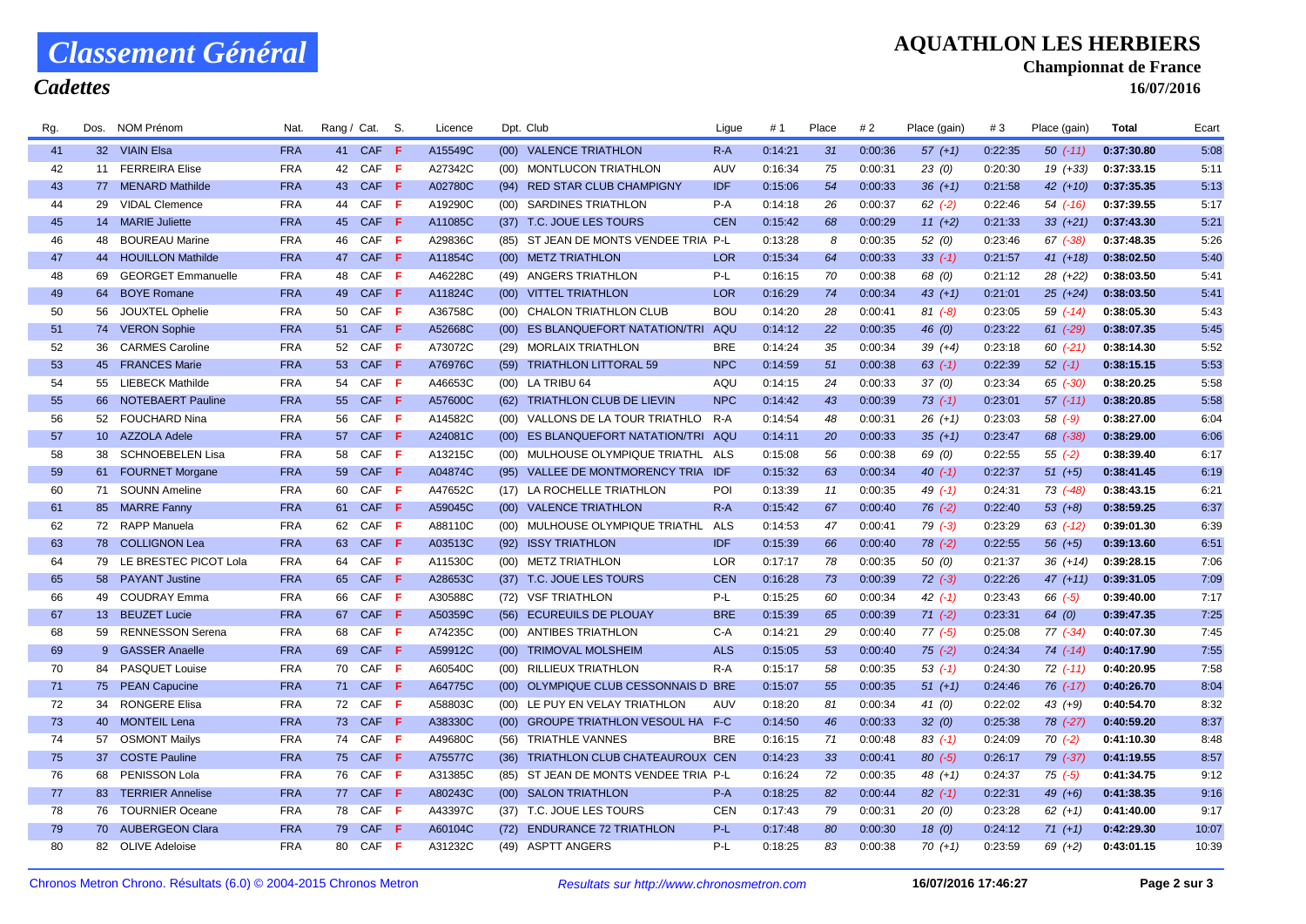### *Classement Général*

#### *Cadettes*

### **AQUATHLON LES HERBIERS**

**Championnat de France**

**16/07/2016**

| Rg. | Dos.            | NOM Prénom                | Nat.       | Rang / Cat. |              | S.  | Licence |      | Dpt. Club                             | Ligue      | #1      | Place | #2      | Place (gain | #3      | Place (gain) | Total      | Ecart |
|-----|-----------------|---------------------------|------------|-------------|--------------|-----|---------|------|---------------------------------------|------------|---------|-------|---------|-------------|---------|--------------|------------|-------|
| 41  |                 | 32 VIAIN Elsa             | <b>FRA</b> |             | 41 CAF F     |     | A15549C |      | (00) VALENCE TRIATHLON                | $R-A$      | 0:14:21 | 31    | 0:00:36 | $57(+1)$    | 0:22:35 | $50( -11)$   | 0:37:30.80 | 5:08  |
| 42  |                 | 11 FERREIRA Elise         | <b>FRA</b> |             | 42 CAF F     |     | A27342C |      | (00) MONTLUCON TRIATHLON              | AUV        | 0:16:34 | 75    | 0:00:31 | 23(0)       | 0:20:30 | $19(+33)$    | 0:37:33.15 | 5:11  |
| 43  |                 | 77 MENARD Mathilde        | <b>FRA</b> |             | 43 CAF F     |     | A02780C | (94) | <b>RED STAR CLUB CHAMPIGNY</b>        | <b>IDF</b> | 0:15:06 | 54    | 0:00:33 | $36 (+1)$   | 0:21:58 | $42 (+10)$   | 0:37:35.35 | 5:13  |
| 44  | 29              | <b>VIDAL Clemence</b>     | <b>FRA</b> | 44          | CAF <b>F</b> |     | A19290C |      | (00) SARDINES TRIATHLON               | $P-A$      | 0:14:18 | 26    | 0:00:37 | $62$ $(-2)$ | 0:22:46 | 54 (-16)     | 0:37:39.55 | 5:17  |
| 45  |                 | 14 MARIE Juliette         | <b>FRA</b> | 45          | CAF F        |     | A11085C |      | (37) T.C. JOUE LES TOURS              | <b>CEN</b> | 0:15:42 | 68    | 0:00:29 | $11 (+2)$   | 0:21:33 | $33 (+21)$   | 0:37:43.30 | 5:21  |
| 46  | 48              | <b>BOUREAU Marine</b>     | <b>FRA</b> | 46          | CAF F        |     | A29836C |      | (85) ST JEAN DE MONTS VENDEE TRIA P-L |            | 0:13:28 | 8     | 0:00:35 | 52(0)       | 0:23:46 | $67$ $(-38)$ | 0:37:48.35 | 5:26  |
| 47  | 44              | <b>HOUILLON Mathilde</b>  | <b>FRA</b> | 47          | CAF <b>F</b> |     | A11854C |      | (00) METZ TRIATHLON                   | <b>LOR</b> | 0:15:34 | 64    | 0:00:33 | $33( -1)$   | 0:21:57 | $41 (+18)$   | 0:38:02.50 | 5:40  |
| 48  | 69              | <b>GEORGET Emmanuelle</b> | <b>FRA</b> | 48          | CAF F        |     | A46228C |      | (49) ANGERS TRIATHLON                 | P-L        | 0:16:15 | 70    | 0:00:38 | 68 (0)      | 0:21:12 | $28(+22)$    | 0:38:03.50 | 5:41  |
| 49  | 64              | <b>BOYE Romane</b>        | <b>FRA</b> | 49          | CAF <b>F</b> |     | A11824C |      | (00) VITTEL TRIATHLON                 | <b>LOR</b> | 0:16:29 | 74    | 0:00:34 | $43 (+1)$   | 0:21:01 | $25 (+24)$   | 0:38:03.50 | 5:41  |
| 50  | 56              | <b>JOUXTEL Ophelie</b>    | <b>FRA</b> | 50          | CAF F        |     | A36758C |      | (00) CHALON TRIATHLON CLUB            | <b>BOU</b> | 0:14:20 | 28    | 0:00:41 | $81 (-8)$   | 0:23:05 | $59( -14)$   | 0:38:05.30 | 5:43  |
| 51  |                 | 74 VERON Sophie           | <b>FRA</b> | 51          | CAF <b>F</b> |     | A52668C |      | (00) ES BLANQUEFORT NATATION/TRI AQU  |            | 0:14:12 | 22    | 0:00:35 | 46 $(0)$    | 0:23:22 | $61$ (-29)   | 0:38:07.35 | 5:45  |
| 52  | 36              | <b>CARMES Caroline</b>    | <b>FRA</b> | 52          | CAF F        |     | A73072C |      | (29) MORLAIX TRIATHLON                | <b>BRE</b> | 0:14:24 | 35    | 0:00:34 | $39 (+4)$   | 0:23:18 | $60( -21)$   | 0:38:14.30 | 5:52  |
| 53  |                 | 45 FRANCES Marie          | <b>FRA</b> | 53          | CAF F        |     | A76976C |      | (59) TRIATHLON LITTORAL 59            | <b>NPC</b> | 0:14:59 | 51    | 0:00:38 | $63$ $(-1)$ | 0:22:39 | $52( -1)$    | 0:38:15.15 | 5:53  |
| 54  |                 | 55 LIEBECK Mathilde       | <b>FRA</b> | 54          | CAF F        |     | A46653C |      | (00) LA TRIBU 64                      | AQU        | 0:14:15 | 24    | 0:00:33 | 37(0)       | 0:23:34 | 65 (-30)     | 0:38:20.25 | 5:58  |
| 55  |                 | 66 NOTEBAERT Pauline      | <b>FRA</b> | 55          | CAF <b>F</b> |     | A57600C |      | (62) TRIATHLON CLUB DE LIEVIN         | <b>NPC</b> | 0:14:42 | 43    | 0:00:39 | $73$ $(-1)$ | 0:23:01 | $57$ $(-11)$ | 0:38:20.85 | 5:58  |
| 56  |                 | 52 FOUCHARD Nina          | <b>FRA</b> | 56          | CAF <b>F</b> |     | A14582C |      | (00) VALLONS DE LA TOUR TRIATHLO R-A  |            | 0:14:54 | 48    | 0:00:31 | $26(+1)$    | 0:23:03 | 58 (-9)      | 0:38:27.00 | 6:04  |
| 57  |                 | 10 AZZOLA Adele           | <b>FRA</b> | 57          | CAF F        |     | A24081C |      | (00) ES BLANQUEFORT NATATION/TRI AQU  |            | 0:14:11 | 20    | 0:00:33 | $35(+1)$    | 0:23:47 | 68 (-38)     | 0:38:29.00 | 6:06  |
| 58  | 38              | <b>SCHNOEBELEN Lisa</b>   | <b>FRA</b> | 58          | CAF F        |     | A13215C |      | (00) MULHOUSE OLYMPIQUE TRIATHL ALS   |            | 0:15:08 | 56    | 0:00:38 | 69 (0)      | 0:22:55 | $55( -2)$    | 0:38:39.40 | 6:17  |
| 59  |                 | 61 FOURNET Morgane        | <b>FRA</b> | 59          | CAF <b>F</b> |     | A04874C |      | (95) VALLEE DE MONTMORENCY TRIA IDF   |            | 0:15:32 | 63    | 0:00:34 | $40(-1)$    | 0:22:37 | $51(+5)$     | 0:38:41.45 | 6:19  |
| 60  |                 | 71 SOUNN Ameline          | <b>FRA</b> | 60          | CAF F        |     | A47652C |      | (17) LA ROCHELLE TRIATHLON            | POI        | 0:13:39 | 11    | 0:00:35 | 49 $(-1)$   | 0:24:31 | 73 (-48)     | 0:38:43.15 | 6:21  |
| 61  |                 | 85 MARRE Fanny            | <b>FRA</b> | 61          | CAF <b>F</b> |     | A59045C |      | (00) VALENCE TRIATHLON                | $R-A$      | 0:15:42 | 67    | 0:00:40 | $76$ $(-2)$ | 0:22:40 | $53(+8)$     | 0:38:59.25 | 6:37  |
| 62  |                 | 72 RAPP Manuela           | <b>FRA</b> | 62          | CAF F        |     | A88110C |      | (00) MULHOUSE OLYMPIQUE TRIATHL ALS   |            | 0:14:53 | 47    | 0:00:41 | $79(-3)$    | 0:23:29 | $63$ (-12)   | 0:39:01.30 | 6:39  |
| 63  |                 | 78 COLLIGNON Lea          | <b>FRA</b> | 63          | CAF <b>F</b> |     | A03513C |      | (92) ISSY TRIATHLON                   | <b>IDF</b> | 0:15:39 | 66    | 0:00:40 | $78$ $(-2)$ | 0:22:55 | $56(+5)$     | 0:39:13.60 | 6:51  |
| 64  | 79              | LE BRESTEC PICOT Lola     | <b>FRA</b> | 64          | CAF F        |     | A11530C |      | (00) METZ TRIATHLON                   | <b>LOR</b> | 0:17:17 | 78    | 0:00:35 | 50(0)       | 0:21:37 | $36 (+14)$   | 0:39:28.15 | 7:06  |
| 65  |                 | 58 PAYANT Justine         | <b>FRA</b> | 65          | CAF <b>F</b> |     | A28653C |      | (37) T.C. JOUE LES TOURS              | <b>CEN</b> | 0:16:28 | 73    | 0:00:39 | $72$ $(-3)$ | 0:22:26 | $47(+11)$    | 0:39:31.05 | 7:09  |
| 66  | 49              | <b>COUDRAY Emma</b>       | <b>FRA</b> | 66          | CAF F        |     | A30588C |      | (72) VSF TRIATHLON                    | P-L        | 0:15:25 | 60    | 0:00:34 | $42$ $(-1)$ | 0:23:43 | 66 (-5)      | 0:39:40.00 | 7:17  |
| 67  |                 | 13 BEUZET Lucie           | <b>FRA</b> | 67          | CAF F        |     | A50359C | (56) | <b>ECUREUILS DE PLOUAY</b>            | <b>BRE</b> | 0:15:39 | 65    | 0:00:39 | $71( -2)$   | 0:23:31 | 64 (0)       | 0:39:47.35 | 7:25  |
| 68  | 59              | <b>RENNESSON Serena</b>   | <b>FRA</b> | 68          | CAF F        |     | A74235C |      | (00) ANTIBES TRIATHLON                | C-A        | 0:14:21 | 29    | 0:00:40 | $77(-5)$    | 0:25:08 | $77(-34)$    | 0:40:07.30 | 7:45  |
| 69  |                 | 9 GASSER Anaelle          | <b>FRA</b> | 69          | CAF F        |     | A59912C |      | (00) TRIMOVAL MOLSHEIM                | <b>ALS</b> | 0:15:05 | 53    | 0:00:40 | $75$ (-2)   | 0:24:34 | $74$ (-14)   | 0:40:17.90 | 7:55  |
| 70  | 84              | <b>PASQUET Louise</b>     | <b>FRA</b> | 70          | CAF F        |     | A60540C |      | (00) RILLIEUX TRIATHLON               | R-A        | 0:15:17 | 58    | 0:00:35 | $53( -1)$   | 0:24:30 | $72( -11)$   | 0:40:20.95 | 7:58  |
| 71  |                 | 75 PEAN Capucine          | <b>FRA</b> |             | 71 CAF F     |     | A64775C |      | (00) OLYMPIQUE CLUB CESSONNAIS D BRE  |            | 0:15:07 | 55    | 0:00:35 | $51 (+1)$   | 0:24:46 | $76$ $(-17)$ | 0:40:26.70 | 8:04  |
| 72  | 34              | <b>RONGERE Elisa</b>      | <b>FRA</b> | 72          | CAF <b>F</b> |     | A58803C |      | (00) LE PUY EN VELAY TRIATHLON        | AUV        | 0:18:20 | 81    | 0:00:34 | 41 $(0)$    | 0:22:02 | $43(+9)$     | 0:40:54.70 | 8:32  |
| 73  | 40              | <b>MONTEIL Lena</b>       | <b>FRA</b> | 73          | CAF F        |     | A38330C |      | (00) GROUPE TRIATHLON VESOUL HA F-C   |            | 0:14:50 | 46    | 0:00:33 | 32(0)       | 0:25:38 | 78 (-27)     | 0:40:59.20 | 8:37  |
| 74  | 57              | <b>OSMONT Mailys</b>      | <b>FRA</b> | 74          | CAF F        |     | A49680C |      | (56) TRIATHLE VANNES                  | BRE        | 0:16:15 | 71    | 0:00:48 | $83$ (-1)   | 0:24:09 | $70( -2)$    | 0:41:10.30 | 8:48  |
| 75  | 37 <sup>2</sup> | <b>COSTE Pauline</b>      | <b>FRA</b> | 75          | CAF <b>F</b> |     | A75577C |      | (36) TRIATHLON CLUB CHATEAUROUX CEN   |            | 0:14:23 | 33    | 0:00:41 | $80( -5)$   | 0:26:17 | 79 (-37)     | 0:41:19.55 | 8:57  |
| 76  | 68              | PENISSON Lola             | <b>FRA</b> | 76          | CAF F        |     | A31385C |      | (85) ST JEAN DE MONTS VENDEE TRIA P-L |            | 0:16:24 | 72    | 0:00:35 | $48(+1)$    | 0:24:37 | $75( -5)$    | 0:41:34.75 | 9:12  |
| 77  |                 | 83 TERRIER Annelise       | <b>FRA</b> |             | 77 CAF F     |     | A80243C |      | (00) SALON TRIATHLON                  | $P-A$      | 0:18:25 | 82    | 0:00:44 | $82$ (-1)   | 0:22:31 | $49(+6)$     | 0:41:38.35 | 9:16  |
| 78  |                 | 76 TOURNIER Oceane        | <b>FRA</b> | 78          | CAF F        |     | A43397C |      | (37) T.C. JOUE LES TOURS              | <b>CEN</b> | 0:17:43 | 79    | 0:00:31 | 20(0)       | 0:23:28 | $62 (+1)$    | 0:41:40.00 | 9:17  |
| 79  |                 | 70 AUBERGEON Clara        | <b>FRA</b> | 79          | CAF <b>F</b> |     | A60104C |      | (72) ENDURANCE 72 TRIATHLON           | P-L        | 0:17:48 | 80    | 0:00:30 | 18(0)       | 0:24:12 | $71 (+1)$    | 0:42:29.30 | 10:07 |
| 80  |                 | 82 OLIVE Adeloise         | <b>FRA</b> | 80          | CAF          | - F | A31232C |      | (49) ASPTT ANGERS                     | $P-L$      | 0:18:25 | 83    | 0:00:38 | $70(+1)$    | 0:23:59 | $69(+2)$     | 0:43:01.15 | 10:39 |